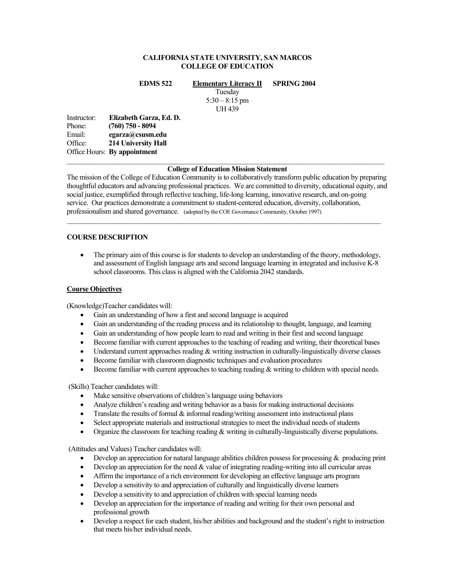# **CALIFORNIA STATE UNIVERSITY, SAN MARCOS COLLEGE OF EDUCATION**

**EDMS 522 Elementary Literacy II SPRING 2004** 

Tuesday  $5:30 - 8:15$  pm UH 439

Instructor: **Elizabeth Garza, Ed. D.**  Phone: **(760) 750 - 8094**<br>Email: **egarza@csusm.c** egarza@csusm.edu Office: **214 University Hall**  Office Hours: **By appointment**  $\mathcal{L}_\mathcal{L} = \{ \mathcal{L}_\mathcal{L} = \{ \mathcal{L}_\mathcal{L} = \{ \mathcal{L}_\mathcal{L} = \{ \mathcal{L}_\mathcal{L} = \{ \mathcal{L}_\mathcal{L} = \{ \mathcal{L}_\mathcal{L} = \{ \mathcal{L}_\mathcal{L} = \{ \mathcal{L}_\mathcal{L} = \{ \mathcal{L}_\mathcal{L} = \{ \mathcal{L}_\mathcal{L} = \{ \mathcal{L}_\mathcal{L} = \{ \mathcal{L}_\mathcal{L} = \{ \mathcal{L}_\mathcal{L} = \{ \mathcal{L}_\mathcal{$ 

# **College of Education Mission Statement**

The mission of the College of Education Community is to collaboratively transform public education by preparing thoughtful educators and advancing professional practices. We are committed to diversity, educational equity, and social justice, exemplified through reflective teaching, life-long learning, innovative research, and on-going service. Our practices demonstrate a commitment to student-centered education, diversity, collaboration, professionalism and shared governance. (adopted by the COE Governance Community, October 1997)

# **COURSE DESCRIPTION**

• The primary aim of this course is for students to develop an understanding of the theory, methodology, and assessment of English language arts and second language learning in integrated and inclusive K-8 school classrooms. This class is aligned with the California 2042 standards.

### **Course Objectives**

(Knowledge)Teacher candidates will:

- Gain an understanding of how a first and second language is acquired
- Gain an understanding of the reading process and its relationship to thought, language, and learning
- Gain an understanding of how people learn to read and writing in their first and second language
- Become familiar with current approaches to the teaching of reading and writing, their theoretical bases
- Understand current approaches reading & writing instruction in culturally-linguistically diverse classes
- Become familiar with classroom diagnostic techniques and evaluation procedures
- Become familiar with current approaches to teaching reading & writing to children with special needs.

(Skills) Teacher candidates will:

- Make sensitive observations of children's language using behaviors
- Analyze children's reading and writing behavior as a basis for making instructional decisions
- Translate the results of formal  $\&$  informal reading/writing assessment into instructional plans
- Select appropriate materials and instructional strategies to meet the individual needs of students
- Organize the classroom for teaching reading  $\&$  writing in culturally-linguistically diverse populations.

(Attitudes and Values) Teacher candidates will:

- Develop an appreciation for natural language abilities children possess for processing  $\&$  producing print
- Develop an appreciation for the need  $&$  value of integrating reading-writing into all curricular areas
- Affirm the importance of a rich environment for developing an effective language arts program
- Develop a sensitivity to and appreciation of culturally and linguistically diverse learners
- Develop a sensitivity to and appreciation of children with special learning needs
- Develop an appreciation for the importance of reading and writing for their own personal and professional growth
- Develop a respect for each student, his/her abilities and background and the student's right to instruction that meets his/her individual needs.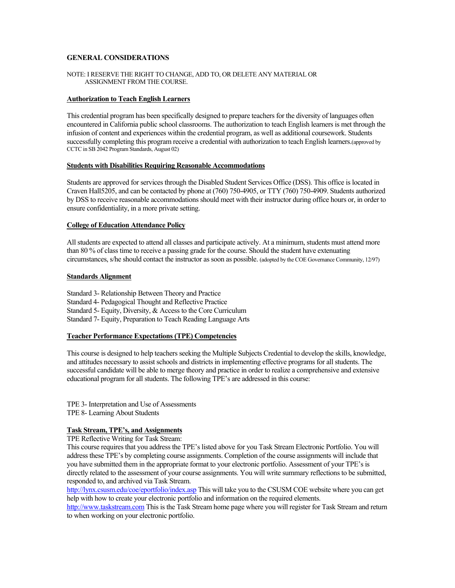# **GENERAL CONSIDERATIONS**

#### NOTE: I RESERVE THE RIGHT TO CHANGE, ADD TO, OR DELETE ANY MATERIAL OR ASSIGNMENT FROM THE COURSE.

#### **Authorization to Teach English Learners**

This credential program has been specifically designed to prepare teachers for the diversity of languages often encountered in California public school classrooms. The authorization to teach English learners is met through the infusion of content and experiences within the credential program, as well as additional coursework. Students successfully completing this program receive a credential with authorization to teach English learners.(approved by CCTC in SB 2042 Program Standards, August 02)

#### **Students with Disabilities Requiring Reasonable Accommodations**

Students are approved for services through the Disabled Student Services Office (DSS). This office is located in Craven Hall5205, and can be contacted by phone at (760) 750-4905, or TTY (760) 750-4909. Students authorized by DSS to receive reasonable accommodations should meet with their instructor during office hours or, in order to ensure confidentiality, in a more private setting.

#### **College of Education Attendance Policy**

All students are expected to attend all classes and participate actively. At a minimum, students must attend more than 80 % of class time to receive a passing grade for the course. Should the student have extenuating circumstances, s/he should contact the instructor as soon as possible. (adopted by the COE Governance Community, 12/97)

#### **Standards Alignment**

Standard 3- Relationship Between Theory and Practice

Standard 4- Pedagogical Thought and Reflective Practice

Standard 5- Equity, Diversity, & Access to the Core Curriculum

Standard 7- Equity, Preparation to Teach Reading Language Arts

# **Teacher Performance Expectations (TPE) Competencies**

This course is designed to help teachers seeking the Multiple Subjects Credential to develop the skills, knowledge, and attitudes necessary to assist schools and districts in implementing effective programs for all students. The successful candidate will be able to merge theory and practice in order to realize a comprehensive and extensive educational program for all students. The following TPE's are addressed in this course:

TPE 3- Interpretation and Use of Assessments TPE 8- Learning About Students

# **Task Stream, TPE's, and Assignments**

TPE Reflective Writing for Task Stream:

This course requires that you address the TPE's listed above for you Task Stream Electronic Portfolio. You will address these TPE's by completing course assignments. Completion of the course assignments will include that you have submitted them in the appropriate format to your electronic portfolio. Assessment of your TPE's is directly related to the assessment of your course assignments. You will write summary reflections to be submitted, responded to, and archived via Task Stream.

http://lynx.csusm.edu/coe/eportfolio/index.asp This will take you to the CSUSM COE website where you can get help with how to create your electronic portfolio and information on the required elements.

http://www.taskstream.com This is the Task Stream home page where you will register for Task Stream and return to when working on your electronic portfolio.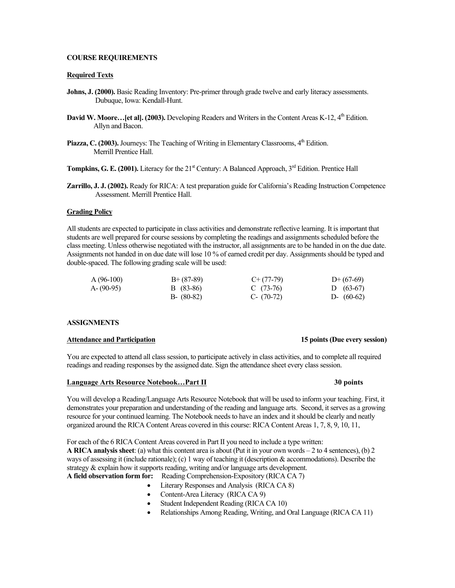# **COURSE REQUIREMENTS**

#### **Required Texts**

- **Johns, J. (2000).** Basic Reading Inventory: Pre-primer through grade twelve and early literacy assessments. Dubuque, Iowa: Kendall-Hunt.
- **David W. Moore...** [et al]. (2003). Developing Readers and Writers in the Content Areas K-12, 4<sup>th</sup> Edition. Allyn and Bacon.
- Piazza, C. (2003). Journeys: The Teaching of Writing in Elementary Classrooms, 4<sup>th</sup> Edition. Merrill Prentice Hall.

**Tompkins, G. E. (2001).** Literacy for the  $21<sup>st</sup>$  Century: A Balanced Approach,  $3<sup>rd</sup>$  Edition. Prentice Hall

**Zarrillo, J. J. (2002).** Ready for RICA: A test preparation guide for California's Reading Instruction Competence Assessment. Merrill Prentice Hall.

#### **Grading Policy**

All students are expected to participate in class activities and demonstrate reflective learning. It is important that students are well prepared for course sessions by completing the readings and assignments scheduled before the class meeting. Unless otherwise negotiated with the instructor, all assignments are to be handed in on the due date. Assignments not handed in on due date will lose 10 % of earned credit per day. Assignments should be typed and double-spaced. The following grading scale will be used:

| $A(96-100)$ | $B+ (87-89)$  | $C+(77-79)$  | $D+(67-69)$  |
|-------------|---------------|--------------|--------------|
| A-(90-95)   | B (83-86)     | C $(73-76)$  | D $(63-67)$  |
|             | $B - (80-82)$ | $C- (70-72)$ | D- $(60-62)$ |

#### **ASSIGNMENTS**

#### **Attendance and Participation 15 points (Due every session)**

You are expected to attend all class session, to participate actively in class activities, and to complete all required readings and reading responses by the assigned date. Sign the attendance sheet every class session.

#### **Language Arts Resource Notebook…Part II 30 points**

You will develop a Reading/Language Arts Resource Notebook that will be used to inform your teaching. First, it demonstrates your preparation and understanding of the reading and language arts. Second, it serves as a growing resource for your continued learning. The Notebook needs to have an index and it should be clearly and neatly organized around the RICA Content Areas covered in this course: RICA Content Areas 1, 7, 8, 9, 10, 11,

For each of the 6 RICA Content Areas covered in Part II you need to include a type written: **A RICA analysis sheet**: (a) what this content area is about (Put it in your own words – 2 to 4 sentences), (b) 2 ways of assessing it (include rationale); (c) 1 way of teaching it (description & accommodations). Describe the strategy & explain how it supports reading, writing and/or language arts development.

- **A field observation form for:** Reading Comprehension-Expository (RICA CA 7)
	- Literary Responses and Analysis (RICA CA 8)
	- Content-Area Literacy (RICA CA 9)
	- Student Independent Reading (RICA CA 10)
	- Relationships Among Reading, Writing, and Oral Language (RICA CA 11)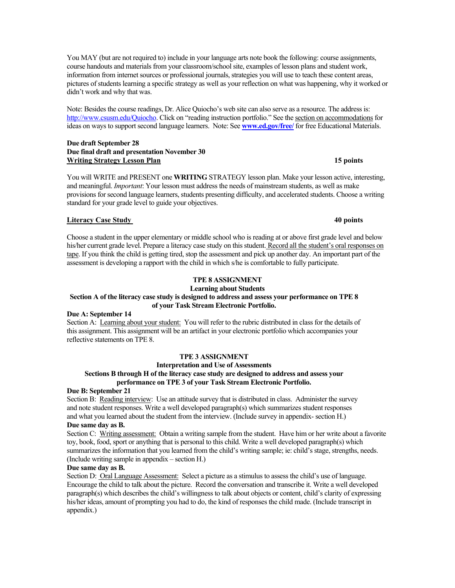You MAY (but are not required to) include in your language arts note book the following: course assignments, course handouts and materials from your classroom/school site, examples of lesson plans and student work, information from internet sources or professional journals, strategies you will use to teach these content areas, pictures of students learning a specific strategy as well as your reflection on what was happening, why it worked or didn't work and why that was.

Note: Besides the course readings, Dr. Alice Quiocho's web site can also serve as a resource. The address is: http://www.csusm.edu/Quiocho. Click on "reading instruction portfolio." See the section on accommodations for ideas on ways to support second language learners. Note: See **www.ed.gov/free/** for free Educational Materials.

# **Due draft September 28 Due final draft and presentation November 30**  Writing Strategy Lesson Plan **15 points 15 points 15 points**

You will WRITE and PRESENT one **WRITING** STRATEGY lesson plan. Make your lesson active, interesting, and meaningful. *Important*: Your lesson must address the needs of mainstream students, as well as make provisions for second language learners, students presenting difficulty, and accelerated students. Choose a writing standard for your grade level to guide your objectives.

# **Literacy Case Study 40 points**

Choose a student in the upper elementary or middle school who is reading at or above first grade level and below his/her current grade level. Prepare a literacy case study on this student. Record all the student's oral responses on tape. If you think the child is getting tired, stop the assessment and pick up another day. An important part of the assessment is developing a rapport with the child in which s/he is comfortable to fully participate.

# **TPE 8 ASSIGNMENT**

**Learning about Students** 

#### **Section A of the literacy case study is designed to address and assess your performance on TPE 8 of your Task Stream Electronic Portfolio.**

# **Due A: September 14**

Section A: Learning about your student: You will refer to the rubric distributed in class for the details of this assignment. This assignment will be an artifact in your electronic portfolio which accompanies your reflective statements on TPE 8.

# **TPE 3 ASSIGNMENT**

### **Interpretation and Use of Assessments**

# **Sections B through H of the literacy case study are designed to address and assess your performance on TPE 3 of your Task Stream Electronic Portfolio.**

# **Due B: September 21**

Section B: Reading interview: Use an attitude survey that is distributed in class. Administer the survey and note student responses. Write a well developed paragraph(s) which summarizes student responses and what you learned about the student from the interview. (Include survey in appendix- section H.)

# **Due same day as B.**

Section C: Writing assessment: Obtain a writing sample from the student. Have him or her write about a favorite toy, book, food, sport or anything that is personal to this child. Write a well developed paragraph(s) which summarizes the information that you learned from the child's writing sample; ie: child's stage, strengths, needs. (Include writing sample in appendix – section H.)

# **Due same day as B.**

Section D: Oral Language Assessment: Select a picture as a stimulus to assess the child's use of language. Encourage the child to talk about the picture. Record the conversation and transcribe it. Write a well developed paragraph(s) which describes the child's willingness to talk about objects or content, child's clarity of expressing his/her ideas, amount of prompting you had to do, the kind of responses the child made. (Include transcript in appendix.)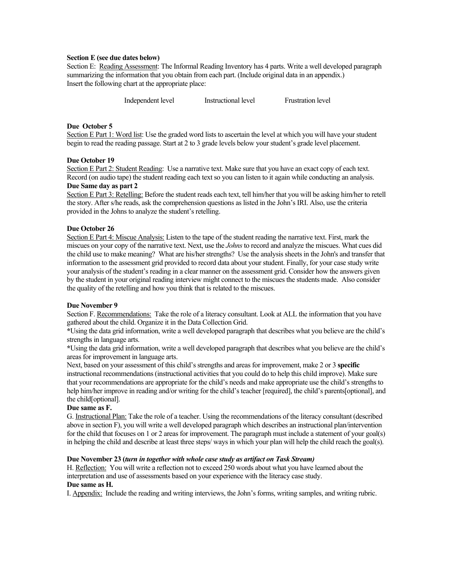#### **Section E (see due dates below)**

Section E: Reading Assessment: The Informal Reading Inventory has 4 parts. Write a well developed paragraph summarizing the information that you obtain from each part. (Include original data in an appendix.) Insert the following chart at the appropriate place:

Independent level Instructional level Frustration level

# **Due October 5**

Section E Part 1: Word list: Use the graded word lists to ascertain the level at which you will have your student begin to read the reading passage. Start at 2 to 3 grade levels below your student's grade level placement.

### **Due October 19**

Section E Part 2: Student Reading: Use a narrative text. Make sure that you have an exact copy of each text. Record (on audio tape) the student reading each text so you can listen to it again while conducting an analysis. **Due Same day as part 2** 

Section E Part 3: Retelling: Before the student reads each text, tell him/her that you will be asking him/her to retell the story. After s/he reads, ask the comprehension questions as listed in the John's IRI. Also, use the criteria provided in the Johns to analyze the student's retelling.

### **Due October 26**

Section E Part 4: Miscue Analysis: Listen to the tape of the student reading the narrative text. First, mark the miscues on your copy of the narrative text. Next, use the *Johns* to record and analyze the miscues. What cues did the child use to make meaning? What are his/her strengths? Use the analysis sheets in the John's and transfer that information to the assessment grid provided to record data about your student. Finally, for your case study write your analysis of the student's reading in a clear manner on the assessment grid. Consider how the answers given by the student in your original reading interview might connect to the miscues the students made. Also consider the quality of the retelling and how you think that is related to the miscues.

#### **Due November 9**

Section F. Recommendations: Take the role of a literacy consultant. Look at ALL the information that you have gathered about the child. Organize it in the Data Collection Grid.

**\***Using the data grid information, write a well developed paragraph that describes what you believe are the child's strengths in language arts.

**\***Using the data grid information, write a well developed paragraph that describes what you believe are the child's areas for improvement in language arts.

Next, based on your assessment of this child's strengths and areas for improvement, make 2 or 3 **specific** instructional recommendations (instructional activities that you could do to help this child improve). Make sure that your recommendations are appropriate for the child's needs and make appropriate use the child's strengths to help him/her improve in reading and/or writing for the child's teacher [required], the child's parents[optional], and the child[optional].

# **Due same as F.**

G. Instructional Plan: Take the role of a teacher. Using the recommendations of the literacy consultant (described above in section F), you will write a well developed paragraph which describes an instructional plan/intervention for the child that focuses on 1 or 2 areas for improvement. The paragraph must include a statement of your goal(s) in helping the child and describe at least three steps/ ways in which your plan will help the child reach the goal(s).

### **Due November 23 (***turn in together with whole case study as artifact on Task Stream)*

H. Reflection: You will write a reflection not to exceed 250 words about what you have learned about the interpretation and use of assessments based on your experience with the literacy case study. **Due same as H.** 

### I. Appendix: Include the reading and writing interviews, the John's forms, writing samples, and writing rubric.